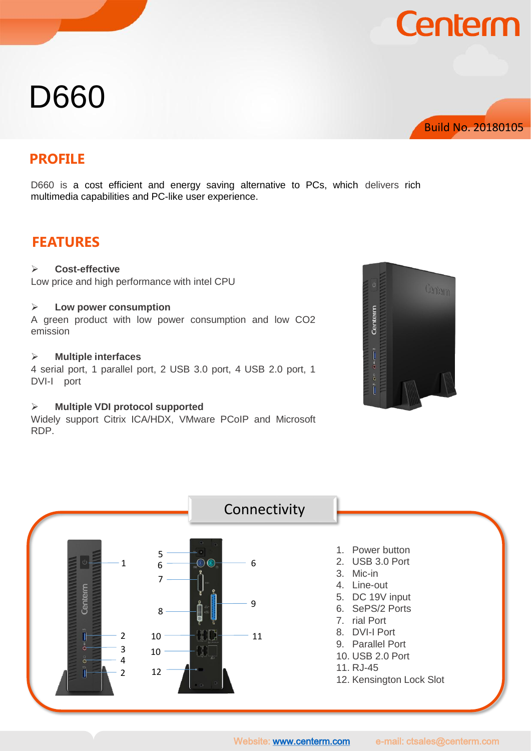# D660



**Centerm** 

### **PROFILE**

D660 is a cost efficient and energy saving alternative to PCs, which delivers rich multimedia capabilities and PC-like user experience.

### **FEATURES**

### **Cost-effective**

Low price and high performance with intel CPU

#### **Low power consumption**

A green product with low power consumption and low CO2 emission

#### **Multiple interfaces**

4 serial port, 1 parallel port, 2 USB 3.0 port, 4 USB 2.0 port, 1 DVI-I port

### **Multiple VDI protocol supported**

Widely support Citrix ICA/HDX, VMware PCoIP and Microsoft RDP.



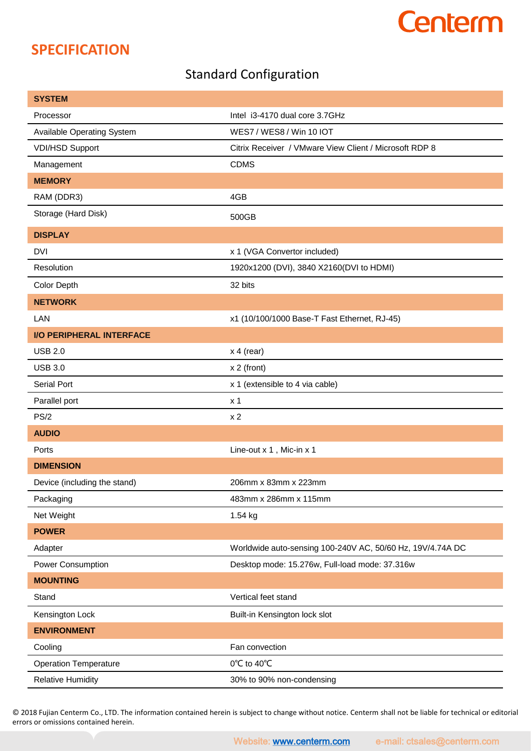## **Centerm**

## **SPECIFICATION**

### Standard Configuration

| <b>SYSTEM</b>                     |                                                            |
|-----------------------------------|------------------------------------------------------------|
| Processor                         | Intel i3-4170 dual core 3.7GHz                             |
| <b>Available Operating System</b> | WES7 / WES8 / Win 10 IOT                                   |
| <b>VDI/HSD Support</b>            | Citrix Receiver / VMware View Client / Microsoft RDP 8     |
| Management                        | <b>CDMS</b>                                                |
| <b>MEMORY</b>                     |                                                            |
| RAM (DDR3)                        | 4GB                                                        |
| Storage (Hard Disk)               | 500GB                                                      |
| <b>DISPLAY</b>                    |                                                            |
| <b>DVI</b>                        | x 1 (VGA Convertor included)                               |
| Resolution                        | 1920x1200 (DVI), 3840 X2160(DVI to HDMI)                   |
| Color Depth                       | 32 bits                                                    |
| <b>NETWORK</b>                    |                                                            |
| LAN                               | x1 (10/100/1000 Base-T Fast Ethernet, RJ-45)               |
| <b>I/O PERIPHERAL INTERFACE</b>   |                                                            |
| <b>USB 2.0</b>                    | $x 4$ (rear)                                               |
| <b>USB 3.0</b>                    | $x 2$ (front)                                              |
| <b>Serial Port</b>                | x 1 (extensible to 4 via cable)                            |
| Parallel port                     | x <sub>1</sub>                                             |
| PS/2                              | x <sub>2</sub>                                             |
| <b>AUDIO</b>                      |                                                            |
| Ports                             | Line-out x 1, Mic-in x 1                                   |
| <b>DIMENSION</b>                  |                                                            |
| Device (including the stand)      | 206mm x 83mm x 223mm                                       |
| Packaging                         | 483mm x 286mm x 115mm                                      |
| Net Weight                        | 1.54 kg                                                    |
| <b>POWER</b>                      |                                                            |
| Adapter                           | Worldwide auto-sensing 100-240V AC, 50/60 Hz, 19V/4.74A DC |
| Power Consumption                 | Desktop mode: 15.276w, Full-load mode: 37.316w             |
| <b>MOUNTING</b>                   |                                                            |
| Stand                             | Vertical feet stand                                        |
| Kensington Lock                   | Built-in Kensington lock slot                              |
| <b>ENVIRONMENT</b>                |                                                            |
| Cooling                           | Fan convection                                             |
| <b>Operation Temperature</b>      | 0°C to 40°C                                                |
| <b>Relative Humidity</b>          | 30% to 90% non-condensing                                  |

© 2018 Fujian Centerm Co., LTD. The information contained herein is subject to change without notice. Centerm shall not be liable for technical or editorial errors or omissions contained herein.

Website: [www.centerm.com](http://www.centerm.com/) e-mail: ctsales@centerm.com